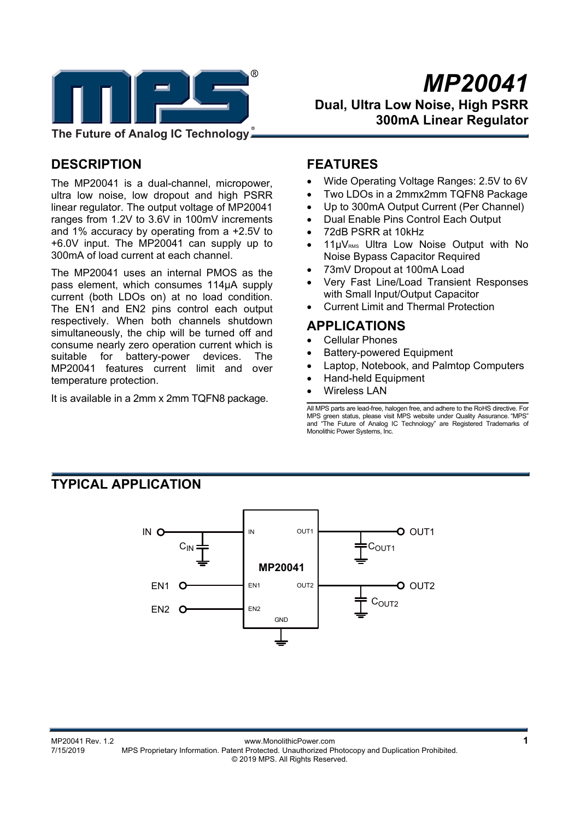

# **DESCRIPTION**

The MP20041 is a dual-channel, micropower, ultra low noise, low dropout and high PSRR linear regulator. The output voltage of MP20041 ranges from 1.2V to 3.6V in 100mV increments and 1% accuracy by operating from a +2.5V to +6.0V input. The MP20041 can supply up to 300mA of load current at each channel.

The MP20041 uses an internal PMOS as the pass element, which consumes 114μA supply current (both LDOs on) at no load condition. The EN1 and EN2 pins control each output respectively. When both channels shutdown simultaneously, the chip will be turned off and consume nearly zero operation current which is suitable for battery-power devices. The MP20041 features current limit and over temperature protection.

It is available in a 2mm x 2mm TQFN8 package.

### **FEATURES**

- Wide Operating Voltage Ranges: 2.5V to 6V
- Two LDOs in a 2mmx2mm TQFN8 Package
- Up to 300mA Output Current (Per Channel)
- Dual Enable Pins Control Each Output
- 72dB PSRR at 10kHz
- 11µV<sub>RMS</sub> Ultra Low Noise Output with No Noise Bypass Capacitor Required
- 73mV Dropout at 100mA Load
- Very Fast Line/Load Transient Responses with Small Input/Output Capacitor
- Current Limit and Thermal Protection

### **APPLICATIONS**

- Cellular Phones
- Battery-powered Equipment
- Laptop, Notebook, and Palmtop Computers
- Hand-held Equipment
- Wireless LAN

All MPS parts are lead-free, halogen free, and adhere to the RoHS directive. For MPS green status, please visit MPS website under Quality Assurance. "MPS" and "The Future of Analog IC Technology" are Registered Trademarks of Monolithic Power Systems, Inc.

# **TYPICAL APPLICATION**

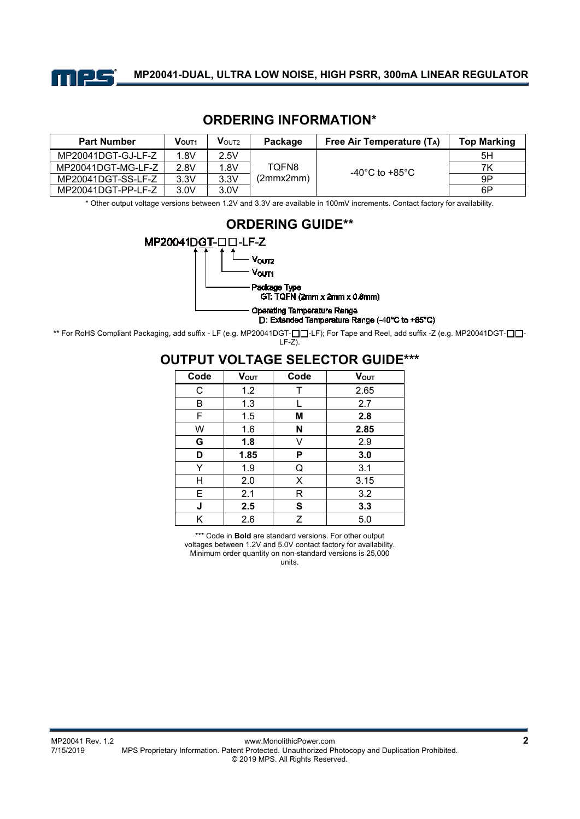

# **ORDERING INFORMATION\***

| <b>Part Number</b> | VOUT <sub>1</sub> | $V$ OUT2 | Package            | Free Air Temperature $(T_A)$ | <b>Top Marking</b> |
|--------------------|-------------------|----------|--------------------|------------------------------|--------------------|
| MP20041DGT-GJ-LF-Z | 1.8V              | 2.5V     | TOFN8<br>(2mmx2mm) |                              | 5H                 |
| MP20041DGT-MG-LF-Z | 2.8V              | 1.8V     |                    | -40°C to +85°C               | 7Κ                 |
| MP20041DGT-SS-LF-Z | 3.3V              | 3.3V     |                    |                              | 9P                 |
| MP20041DGT-PP-LF-Z | 3.0V              | 3.0V     |                    |                              | 6P                 |

\* Other output voltage versions between 1.2V and 3.3V are available in 100mV increments. Contact factory for availability.



**\*\*** For RoHS Compliant Packaging, add suffix - LF (e.g. MP20041DGT-□□-LF); For Tape and Reel, add suffix -Z (e.g. MP20041DGT-□□-LF-Z).

### **OUTPUT VOLTAGE SELECTOR GUIDE\*\*\***

| Code | <b>V</b> <sub>OUT</sub> | Code | <b>V</b> <sub>out</sub> |
|------|-------------------------|------|-------------------------|
| С    | 1.2                     | Τ    | 2.65                    |
| B    | 1.3                     |      | 2.7                     |
| F    | 1.5                     | М    | 2.8                     |
| W    | 1.6                     | N    | 2.85                    |
| G    | 1.8                     | v    | 2.9                     |
| D    | 1.85                    | P    | 3.0                     |
| Y    | 1.9                     | Q    | 3.1                     |
| н    | 2.0                     | X    | 3.15                    |
| Е    | 2.1                     | R    | 3.2                     |
| J    | 2.5                     | S    | 3.3                     |
| Κ    | 2.6                     | Ζ    | 5.0                     |

\*\*\* Code in **Bold** are standard versions. For other output voltages between 1.2V and 5.0V contact factory for availability. Minimum order quantity on non-standard versions is 25,000

units.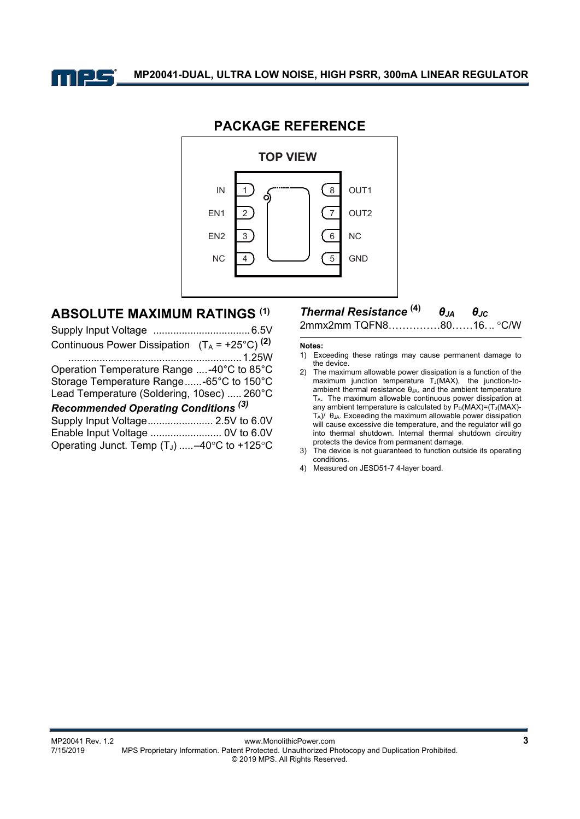



### **PACKAGE REFERENCE**

# **ABSOLUTE MAXIMUM RATINGS (1)**

| Continuous Power Dissipation $(T_A = +25^{\circ}C)^{(2)}$ |
|-----------------------------------------------------------|
|                                                           |
| Operation Temperature Range -40°C to 85°C                 |
| Storage Temperature Range-65°C to 150°C                   |
| Lead Temperature (Soldering, 10sec)  260°C                |
| Recommended Operating Conditions <sup>(3)</sup>           |
| Supply Input Voltage 2.5V to 6.0V                         |
| Enable Input Voltage  0V to 6.0V                          |
| Operating Junct. Temp (TJ) -40°C to +125°C                |

### *Thermal Resistance* **(4)** *θJA θJC* 2mmx2mm TQFN8……………80……16. .. C/W

#### **Notes:**

- 1) Exceeding these ratings may cause permanent damage to the device.
- 2) The maximum allowable power dissipation is a function of the  $maximum$  junction temperature  $T_J(MAX)$ , the junction-toambient thermal resistance θ<sub>JA</sub>, and the ambient temperature TA. The maximum allowable continuous power dissipation at any ambient temperature is calculated by  $P_D(MAX)=(T_J(MAX)-T_J(MAX)-T_J(MAX))$ TA)/ θJA. Exceeding the maximum allowable power dissipation will cause excessive die temperature, and the regulator will go into thermal shutdown. Internal thermal shutdown circuitry protects the device from permanent damage.
- 3) The device is not guaranteed to function outside its operating conditions.
- 4) Measured on JESD51-7 4-layer board.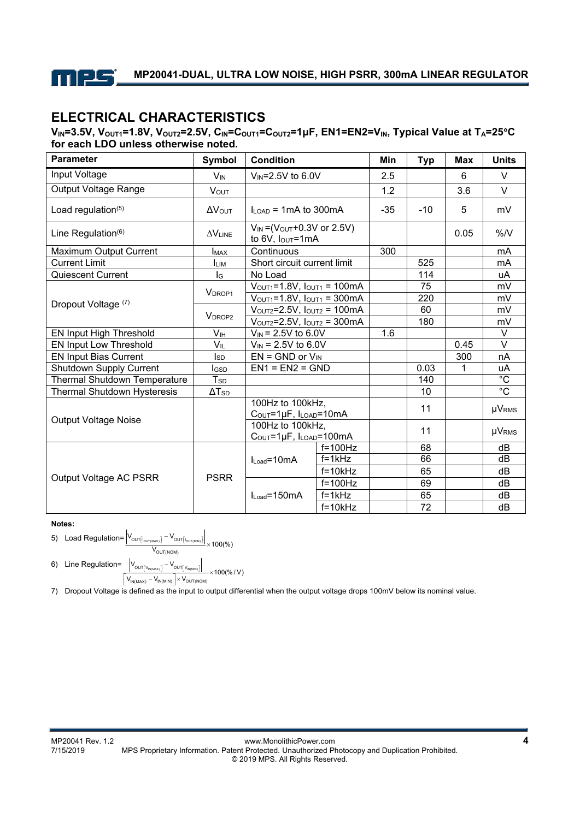

# **ELECTRICAL CHARACTERISTICS**

**VIN=3.5V, VOUT1=1.8V, VOUT2=2.5V, CIN=COUT1=COUT2=1μF, EN1=EN2=VIN, Typical Value at TA=25C for each LDO unless otherwise noted.** 

| <b>Parameter</b>                   | Symbol                   | <b>Condition</b>                                                |                          | Min   | <b>Typ</b> | <b>Max</b> | <b>Units</b>   |
|------------------------------------|--------------------------|-----------------------------------------------------------------|--------------------------|-------|------------|------------|----------------|
| Input Voltage                      | <b>V<sub>IN</sub></b>    | V <sub>IN</sub> =2.5V to 6.0V                                   |                          | 2.5   |            | 6          | $\vee$         |
| Output Voltage Range               | <b>VOUT</b>              |                                                                 |                          | 1.2   |            | 3.6        | $\vee$         |
| Load regulation <sup>(5)</sup>     | <b>AVOUT</b>             | $I_{I, OAD}$ = 1 mA to 300 mA                                   |                          | $-35$ | $-10$      | 5          | mV             |
| Line Regulation <sup>(6)</sup>     | $\Delta V_{LINE}$        | $V_{IN} = (V_{OUT} + 0.3V \text{ or } 2.5V)$<br>to 6V, lout=1mA |                          |       |            | 0.05       | %N             |
| Maximum Output Current             | <b>I</b> MAX             | Continuous                                                      |                          | 300   |            |            | mA             |
| <b>Current Limit</b>               | <b>I</b> LIM             | Short circuit current limit                                     |                          |       | 525        |            | mA             |
| <b>Quiescent Current</b>           | lg                       | No Load                                                         |                          |       | 114        |            | uA             |
|                                    | V <sub>DROP1</sub>       | $V_{\text{OUT1}} = 1.8V$ , $I_{\text{OUT1}} = 100 \text{mA}$    |                          |       | 75         |            | mV             |
| Dropout Voltage (7)                |                          | $V_{\text{OUT1}} = 1.8V$ , $I_{\text{OUT1}} = 300 \text{mA}$    |                          |       | 220        |            | mV             |
|                                    | <b>VDROP2</b>            | $V_{\text{OUT2}}=2.5V$ , $I_{\text{OUT2}}=100 \text{mA}$        |                          |       | 60         |            | mV             |
|                                    |                          | $V_{\text{OUT2}} = 2.5V$ , $I_{\text{OUT2}} = 300 \text{mA}$    |                          |       | 180        |            | mV             |
| EN Input High Threshold            | V <sub>IH</sub>          | $V_{IN}$ = 2.5V to 6.0V                                         |                          | 1.6   |            |            | V              |
| EN Input Low Threshold             | VIL                      | $V_{IN}$ = 2.5V to 6.0V                                         |                          |       |            | 0.45       | $\vee$         |
| <b>EN Input Bias Current</b>       | $\mathsf{Iso}$           | $EN = GND$ or $V_{IN}$                                          |                          |       |            | 300        | nA             |
| Shutdown Supply Current            | Igsp                     | $EN1 = EN2 = GND$                                               |                          |       | 0.03       | 1          | uA             |
| Thermal Shutdown Temperature       | $T_{SD}$                 |                                                                 |                          |       | 140        |            | $\overline{C}$ |
| <b>Thermal Shutdown Hysteresis</b> | $\Delta$ T <sub>SD</sub> |                                                                 |                          |       | 10         |            | $\overline{C}$ |
|                                    |                          | 100Hz to 100kHz,<br>COUT=1µF, ILOAD=10mA                        |                          |       | 11         |            | $\mu V_{RMS}$  |
| <b>Output Voltage Noise</b>        |                          | 100Hz to 100kHz,                                                |                          |       | 11         |            | <b>µVRMS</b>   |
|                                    |                          | COUT=1µF, ILOAD=100mA                                           |                          |       |            |            |                |
| Output Voltage AC PSRR             | <b>PSRR</b>              | $I_{Load} = 10mA$<br>$I_{Load} = 150mA$                         | $f=100$ Hz<br>$f = 1kHz$ |       | 68<br>66   |            | dB             |
|                                    |                          |                                                                 |                          |       |            |            | dB             |
|                                    |                          |                                                                 | $f = 10kHz$              |       | 65         |            | dB             |
|                                    |                          |                                                                 | $f=100Hz$                |       | 69         |            | dB             |
|                                    |                          |                                                                 | $\overline{f=1}$ kHz     |       | 65         |            | dB             |
|                                    |                          |                                                                 | $f = 10k$ Hz             |       | 72         |            | dB             |

**Notes:** 

- 5) Load Regulation= (NOM)  $\overline{O}$ UT $\left| \right|$   $\overline{O}$   $\overline{O}$ UT $\left| \right|$   $\overline{O}$ <sub>UT $\left($ MIN)</sub> OUT(NOM  $V_{\text{out}}$   $1-V$  $\frac{\left[\text{I}_{\text{OUT}(\text{MAX})}\right] - \text{V}_{\text{OUT}}\left[\text{I}_{\text{OUT}(\text{MIN})}\right]}{\text{V}_{\text{OUT}(\text{MIN})}} \times 100(\%)$  $\times$ 6) Line Regulation=  $V_{\text{out}}$   $v_1 - V$  $\left[\mathbf{v}_{\text{IN(MAX)}}\right] = \mathbf{V}_{\text{OUT}}\left[\mathbf{v}_{\text{IN(MIN)}}\right]$
- $(MAX)$  $\overline{O}$ UT V<sub>IN(MIN)</sub>  $\overline{O}$  OUT V<sub>IN(MIN)</sub>  $IN(MAX)$   $VIN(MIN)$   $\wedge$   $VOUT(NOM)$  $\times$ 100(%/V)  $V_{IN(MAY)} - V_{IN(MIN)}$   $\times V$  $\left[\frac{V_{IN(MAX)} - V_{IN(MIN)}\right] \times V_{OUT(NOM)}}{V_{IN(MAX)} - V_{IN(MIN)}\right] \times V_{OUT(NOM)}}$

7) Dropout Voltage is defined as the input to output differential when the output voltage drops 100mV below its nominal value.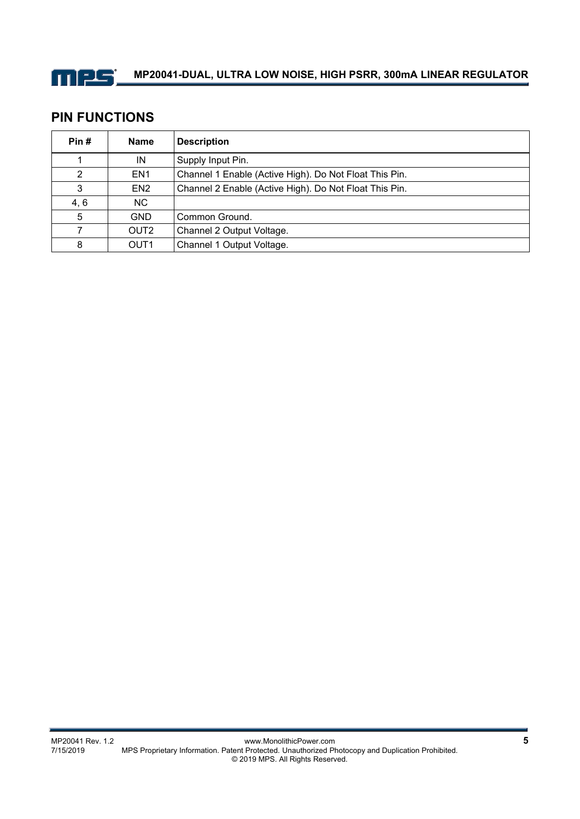

# **MP20041-DUAL, ULTRA LOW NOISE, HIGH PSRR, 300mA LINEAR REGULATOR**

### **PIN FUNCTIONS**

| Pin# | <b>Name</b>      | <b>Description</b>                                     |  |
|------|------------------|--------------------------------------------------------|--|
|      | IN               | Supply Input Pin.                                      |  |
| 2    | EN <sub>1</sub>  | Channel 1 Enable (Active High). Do Not Float This Pin. |  |
| 3    | EN <sub>2</sub>  | Channel 2 Enable (Active High). Do Not Float This Pin. |  |
| 4, 6 | NC.              |                                                        |  |
| 5    | <b>GND</b>       | Common Ground.                                         |  |
| 7    | OUT <sub>2</sub> | Channel 2 Output Voltage.                              |  |
| 8    | OUT <sub>1</sub> | Channel 1 Output Voltage.                              |  |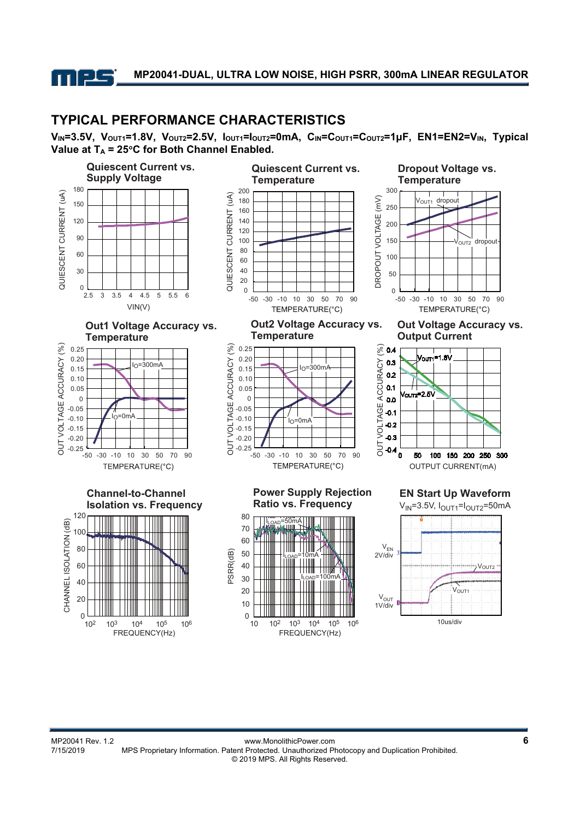

### **TYPICAL PERFORMANCE CHARACTERISTICS**

**VIN=3.5V, VOUT1=1.8V, VOUT2=2.5V, IOUT1=IOUT2=0mA, CIN=COUT1=COUT2=1μF, EN1=EN2=VIN, Typical**  Value at  $T_A = 25^\circ C$  for Both Channel Enabled.

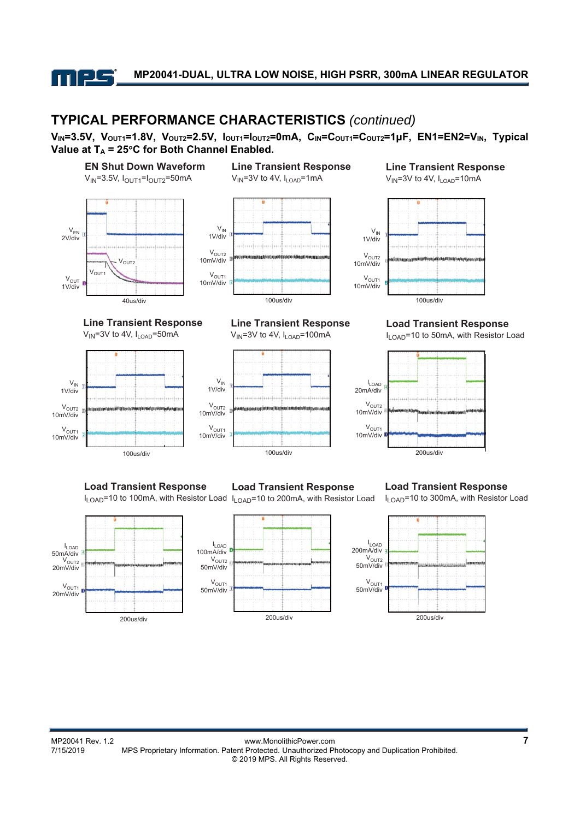

### **TYPICAL PERFORMANCE CHARACTERISTICS** *(continued)*

**VIN=3.5V, VOUT1=1.8V, VOUT2=2.5V, IOUT1=IOUT2=0mA, CIN=COUT1=COUT2=1μF, EN1=EN2=VIN, Typical**  Value at  $T_A = 25^\circ C$  for Both Channel Enabled.



100us/div

I<sub>LOAD</sub><br>50mA/div

**Load Transient Response**

I<sub>LOAD</sub>=10 to 100mA, with Resistor Load I<sub>LOAD</sub>=10 to 200mA, with Resistor Load

**Load Transient Response**

100us/div 200us/div





**Load Transient Response**

I<sub>LOAD</sub>=10 to 300mA, with Resistor Load

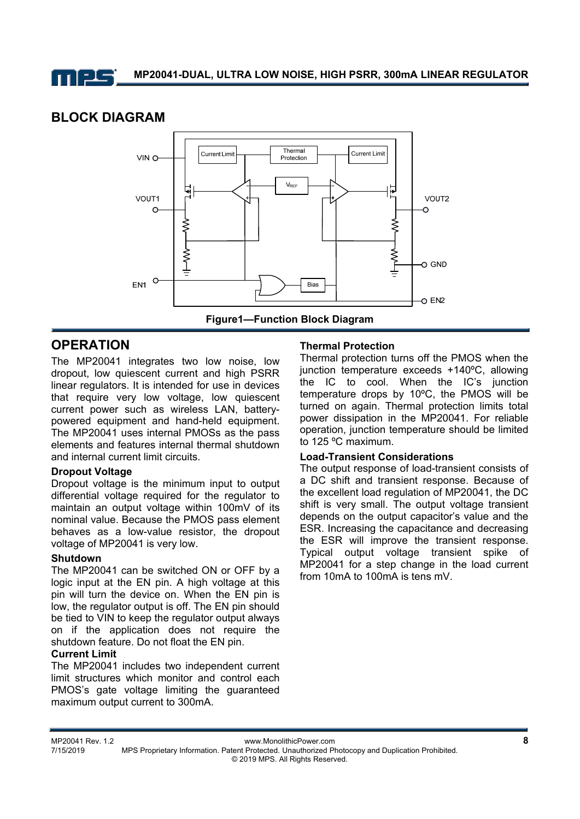

# **BLOCK DIAGRAM**



# **OPERATION**

The MP20041 integrates two low noise, low dropout, low quiescent current and high PSRR linear regulators. It is intended for use in devices that require very low voltage, low quiescent current power such as wireless LAN, batterypowered equipment and hand-held equipment. The MP20041 uses internal PMOSs as the pass elements and features internal thermal shutdown and internal current limit circuits.

### **Dropout Voltage**

Dropout voltage is the minimum input to output differential voltage required for the regulator to maintain an output voltage within 100mV of its nominal value. Because the PMOS pass element behaves as a low-value resistor, the dropout voltage of MP20041 is very low.

### **Shutdown**

The MP20041 can be switched ON or OFF by a logic input at the EN pin. A high voltage at this pin will turn the device on. When the EN pin is low, the regulator output is off. The EN pin should be tied to VIN to keep the regulator output always on if the application does not require the shutdown feature. Do not float the EN pin.

### **Current Limit**

The MP20041 includes two independent current limit structures which monitor and control each PMOS's gate voltage limiting the guaranteed maximum output current to 300mA.

### **Thermal Protection**

Thermal protection turns off the PMOS when the junction temperature exceeds +140ºC, allowing the IC to cool. When the IC's junction temperature drops by 10ºC, the PMOS will be turned on again. Thermal protection limits total power dissipation in the MP20041. For reliable operation, junction temperature should be limited to 125 ºC maximum.

#### **Load-Transient Considerations**

The output response of load-transient consists of a DC shift and transient response. Because of the excellent load regulation of MP20041, the DC shift is very small. The output voltage transient depends on the output capacitor's value and the ESR. Increasing the capacitance and decreasing the ESR will improve the transient response. Typical output voltage transient spike of MP20041 for a step change in the load current from 10mA to 100mA is tens mV.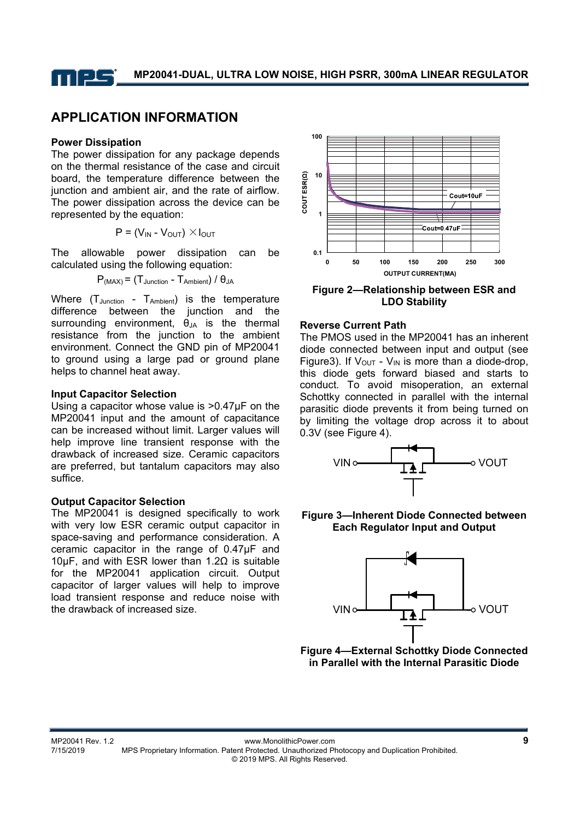

# **APPLICATION INFORMATION**

#### **Power Dissipation**

The power dissipation for any package depends on the thermal resistance of the case and circuit board, the temperature difference between the junction and ambient air, and the rate of airflow. The power dissipation across the device can be represented by the equation:

$$
P = (V_{IN} - V_{OUT}) \times I_{OUT}
$$

The allowable power dissipation can be calculated using the following equation:

$$
P_{(MAX)} = (T_{Junction} - T_{Ambient}) / \theta_{JA}
$$

Where (T<sub>Junction</sub> - T<sub>Ambient</sub>) is the temperature difference between the junction and the surrounding environment,  $\theta_{JA}$  is the thermal resistance from the junction to the ambient environment. Connect the GND pin of MP20041 to ground using a large pad or ground plane helps to channel heat away.

#### **Input Capacitor Selection**

Using a capacitor whose value is >0.47µF on the MP20041 input and the amount of capacitance can be increased without limit. Larger values will help improve line transient response with the drawback of increased size. Ceramic capacitors are preferred, but tantalum capacitors may also suffice.

#### **Output Capacitor Selection**

The MP20041 is designed specifically to work with very low ESR ceramic output capacitor in space-saving and performance consideration. A ceramic capacitor in the range of 0.47µF and 10µF, and with ESR lower than 1.2Ω is suitable for the MP20041 application circuit. Output capacitor of larger values will help to improve load transient response and reduce noise with the drawback of increased size.





#### **Reverse Current Path**

The PMOS used in the MP20041 has an inherent diode connected between input and output (see Figure3). If  $V_{\text{OUT}}$  -  $V_{\text{IN}}$  is more than a diode-drop, this diode gets forward biased and starts to conduct. To avoid misoperation, an external Schottky connected in parallel with the internal parasitic diode prevents it from being turned on by limiting the voltage drop across it to about 0.3V (see Figure 4).



#### **Figure 3—Inherent Diode Connected between Each Regulator Input and Output**



**Figure 4—External Schottky Diode Connected in Parallel with the Internal Parasitic Diode**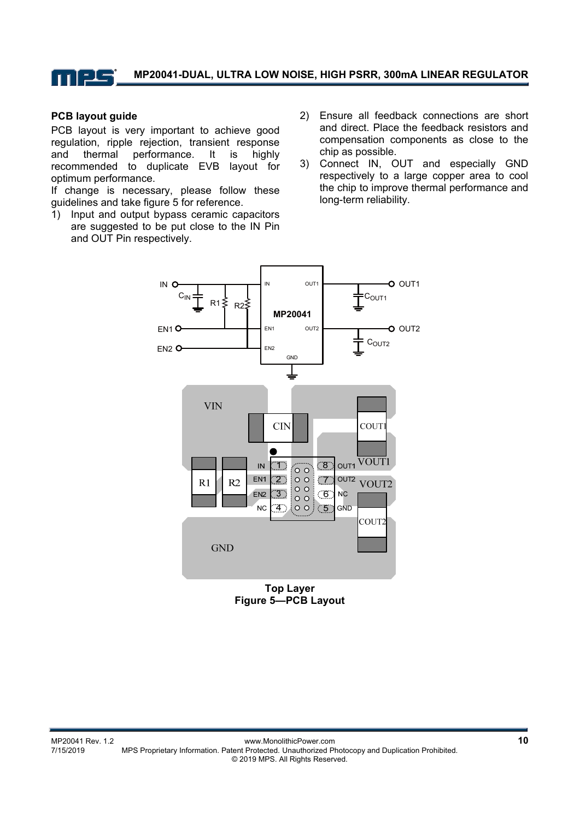

#### **PCB layout guide**

PCB layout is very important to achieve good regulation, ripple rejection, transient response and thermal performance. It is highly recommended to duplicate EVB layout for optimum performance.

If change is necessary, please follow these guidelines and take figure 5 for reference.

- 1) Input and output bypass ceramic capacitors are suggested to be put close to the IN Pin and OUT Pin respectively.
- 2) Ensure all feedback connections are short and direct. Place the feedback resistors and compensation components as close to the chip as possible.
- 3) Connect IN, OUT and especially GND respectively to a large copper area to cool the chip to improve thermal performance and long-term reliability.



**Top Layer Figure 5—PCB Layout**